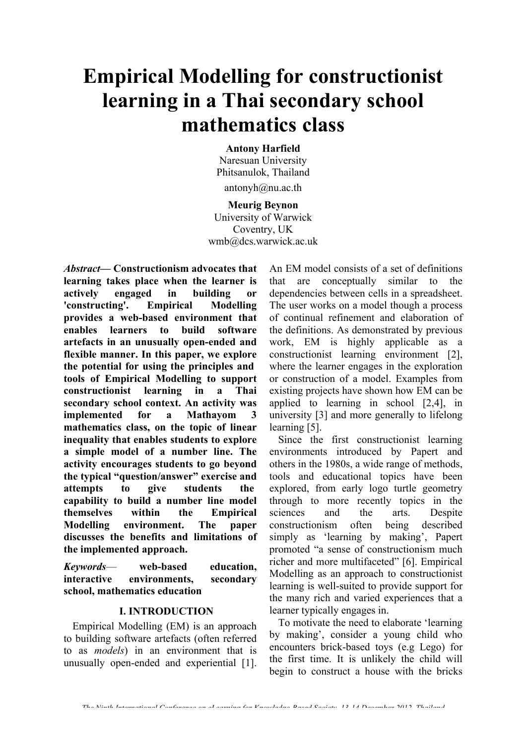# **Empirical Modelling for constructionist learning in a Thai secondary school mathematics class**

**Antony Harfield** Naresuan University Phitsanulok, Thailand antonyh@nu.ac.th

#### **Meurig Beynon**

University of Warwick Coventry, UK wmb@dcs.warwick.ac.uk

*Abstract***— Constructionism advocates that learning takes place when the learner is actively engaged in building or 'constructing'. Empirical Modelling provides a web-based environment that enables learners to build software artefacts in an unusually open-ended and flexible manner. In this paper, we explore the potential for using the principles and tools of Empirical Modelling to support constructionist learning in a Thai secondary school context. An activity was implemented for a Mathayom 3 mathematics class, on the topic of linear inequality that enables students to explore a simple model of a number line. The activity encourages students to go beyond the typical "question/answer" exercise and attempts to give students the capability to build a number line model themselves within the Empirical Modelling environment. The paper discusses the benefits and limitations of the implemented approach.** 

*Keywords*— **web-based education, interactive environments, secondary school, mathematics education**

#### **I. INTRODUCTION**

Empirical Modelling (EM) is an approach to building software artefacts (often referred to as *models*) in an environment that is unusually open-ended and experiential [1].

An EM model consists of a set of definitions that are conceptually similar to the dependencies between cells in a spreadsheet. The user works on a model though a process of continual refinement and elaboration of the definitions. As demonstrated by previous work, EM is highly applicable as a constructionist learning environment [2], where the learner engages in the exploration or construction of a model. Examples from existing projects have shown how EM can be applied to learning in school [2,4], in university [3] and more generally to lifelong learning [5].

Since the first constructionist learning environments introduced by Papert and others in the 1980s, a wide range of methods, tools and educational topics have been explored, from early logo turtle geometry through to more recently topics in the sciences and the arts. Despite constructionism often being described simply as 'learning by making', Papert promoted "a sense of constructionism much richer and more multifaceted" [6]. Empirical Modelling as an approach to constructionist learning is well-suited to provide support for the many rich and varied experiences that a learner typically engages in.

To motivate the need to elaborate 'learning by making', consider a young child who encounters brick-based toys (e.g Lego) for the first time. It is unlikely the child will begin to construct a house with the bricks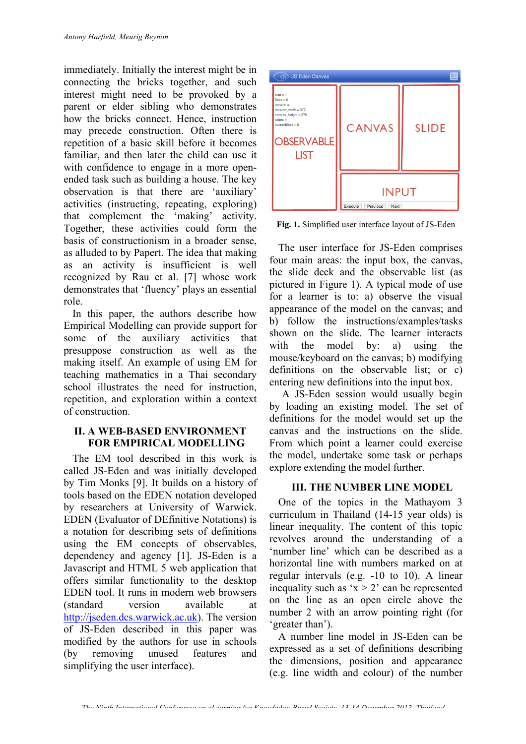immediately. Initially the interest might be in connecting the bricks together, and such interest might need to be provoked by a parent or elder sibling who demonstrates how the bricks connect. Hence, instruction may precede construction. Often there is repetition of a basic skill before it becomes familiar, and then later the child can use it with confidence to engage in a more openended task such as building a house. The key observation is that there are 'auxiliary' activities (instructing, repeating, exploring) that complement the 'making' activity. Together, these activities could form the basis of constructionism in a broader sense as alluded to by Papert. The idea that making as an activity is insufficient is well recognized by Rau et al. [7] whose work demonstrates that 'fluency' plays an essential role.

In this paper, the authors describe how Empirical Modelling can provide support for some of the auxiliary activities that presuppose construction as well as the making itself. An example of using EM for teaching mathematics in a Thai secondary school illustrates the need for instruction, repetition, and exploration within a context of construction.

### **II. A WEB-BASED ENVIRONMENT FOR EMPIRICAL MODELLING**

The EM tool described in this work is called JS-Eden and was initially developed by Tim Monks [9]. It builds on a history of tools based on the EDEN notation developed by researchers at University of Warwick. EDEN (Evaluator of DEfinitive Notations) is a notation for describing sets of definitions using the EM concepts of observables, dependency and agency [1]. JS-Eden is a Javascript and HTML 5 web application that offers similar functionality to the desktop EDEN tool. It runs in modern web browsers (standard version available at http://jseden.dcs.warwick.ac.uk). The version of JS-Eden described in this paper was modified by the authors for use in schools (by removing unused features and simplifying the user interface).



**Fig. 1.** Simplified user interface layout of JS-Eden

The user interface for JS-Eden comprises four main areas: the input box, the canvas, the slide deck and the observable list (as pictured in Figure 1). A typical mode of use for a learner is to: a) observe the visual appearance of the model on the canvas; and b) follow the instructions/examples/tasks shown on the slide. The learner interacts with the model by: a) using the mouse/keyboard on the canvas; b) modifying definitions on the observable list; or c) entering new definitions into the input box.

A JS-Eden session would usually begin by loading an existing model. The set of definitions for the model would set up the canvas and the instructions on the slide. From which point a learner could exercise the model, undertake some task or perhaps explore extending the model further.

## **III. THE NUMBER LINE MODEL**

One of the topics in the Mathayom 3 curriculum in Thailand (14-15 year olds) is linear inequality. The content of this topic revolves around the understanding of a 'number line' which can be described as a horizontal line with numbers marked on at regular intervals (e.g. -10 to 10). A linear inequality such as ' $x > 2$ ' can be represented on the line as an open circle above the number 2 with an arrow pointing right (for 'greater than').

A number line model in JS-Eden can be expressed as a set of definitions describing the dimensions, position and appearance (e.g. line width and colour) of the number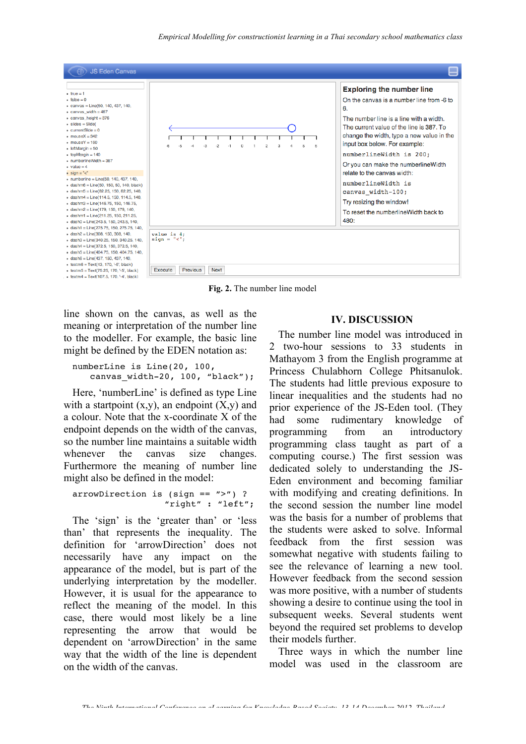

**Fig. 2.** The number line model

line shown on the canvas, as well as the meaning or interpretation of the number line to the modeller. For example, the basic line might be defined by the EDEN notation as:

numberLine is Line(20, 100, canvas width-20, 100, "black");

Here, 'numberLine' is defined as type Line with a startpoint  $(x,y)$ , an endpoint  $(X,y)$  and a colour. Note that the x-coordinate X of the endpoint depends on the width of the canvas, so the number line maintains a suitable width whenever the canvas size changes. Furthermore the meaning of number line might also be defined in the model:

arrowDirection is (sign == ">") ? "right" : "left";

The 'sign' is the 'greater than' or 'less than' that represents the inequality. The definition for 'arrowDirection' does not necessarily have any impact on the appearance of the model, but is part of the underlying interpretation by the modeller. However, it is usual for the appearance to reflect the meaning of the model. In this case, there would most likely be a line representing the arrow that would be dependent on 'arrowDirection' in the same way that the width of the line is dependent on the width of the canvas.

#### **IV. DISCUSSION**

The number line model was introduced in 2 two-hour sessions to 33 students in Mathayom 3 from the English programme at Princess Chulabhorn College Phitsanulok. The students had little previous exposure to linear inequalities and the students had no prior experience of the JS-Eden tool. (They had some rudimentary knowledge of programming from an introductory programming class taught as part of a computing course.) The first session was dedicated solely to understanding the JS-Eden environment and becoming familiar with modifying and creating definitions. In the second session the number line model was the basis for a number of problems that the students were asked to solve. Informal feedback from the first session was somewhat negative with students failing to see the relevance of learning a new tool. However feedback from the second session was more positive, with a number of students showing a desire to continue using the tool in subsequent weeks. Several students went beyond the required set problems to develop their models further.

Three ways in which the number line model was used in the classroom are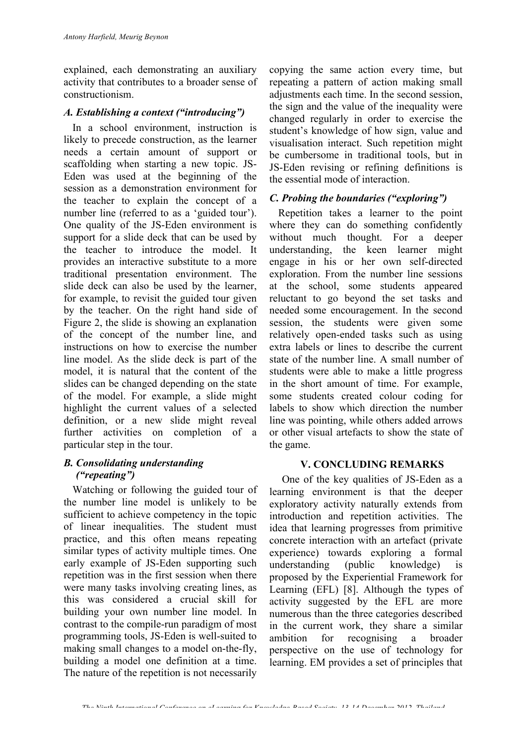explained, each demonstrating an auxiliary activity that contributes to a broader sense of constructionism.

## *A. Establishing a context ("introducing")*

In a school environment, instruction is likely to precede construction, as the learner needs a certain amount of support or scaffolding when starting a new topic. JS-Eden was used at the beginning of the session as a demonstration environment for the teacher to explain the concept of a number line (referred to as a 'guided tour'). One quality of the JS-Eden environment is support for a slide deck that can be used by the teacher to introduce the model. It provides an interactive substitute to a more traditional presentation environment. The slide deck can also be used by the learner, for example, to revisit the guided tour given by the teacher. On the right hand side of Figure 2, the slide is showing an explanation of the concept of the number line, and instructions on how to exercise the number line model. As the slide deck is part of the model, it is natural that the content of the slides can be changed depending on the state of the model. For example, a slide might highlight the current values of a selected definition, or a new slide might reveal further activities on completion of a particular step in the tour.

## *B. Consolidating understanding ("repeating")*

Watching or following the guided tour of the number line model is unlikely to be sufficient to achieve competency in the topic of linear inequalities. The student must practice, and this often means repeating similar types of activity multiple times. One early example of JS-Eden supporting such repetition was in the first session when there were many tasks involving creating lines, as this was considered a crucial skill for building your own number line model. In contrast to the compile-run paradigm of most programming tools, JS-Eden is well-suited to making small changes to a model on-the-fly, building a model one definition at a time. The nature of the repetition is not necessarily

copying the same action every time, but repeating a pattern of action making small adjustments each time. In the second session, the sign and the value of the inequality were changed regularly in order to exercise the student's knowledge of how sign, value and visualisation interact. Such repetition might be cumbersome in traditional tools, but in JS-Eden revising or refining definitions is the essential mode of interaction.

## *C. Probing the boundaries ("exploring")*

Repetition takes a learner to the point where they can do something confidently without much thought. For a deeper understanding, the keen learner might engage in his or her own self-directed exploration. From the number line sessions at the school, some students appeared reluctant to go beyond the set tasks and needed some encouragement. In the second session, the students were given some relatively open-ended tasks such as using extra labels or lines to describe the current state of the number line. A small number of students were able to make a little progress in the short amount of time. For example, some students created colour coding for labels to show which direction the number line was pointing, while others added arrows or other visual artefacts to show the state of the game.

## **V. CONCLUDING REMARKS**

One of the key qualities of JS-Eden as a learning environment is that the deeper exploratory activity naturally extends from introduction and repetition activities. The idea that learning progresses from primitive concrete interaction with an artefact (private experience) towards exploring a formal understanding (public knowledge) is proposed by the Experiential Framework for Learning (EFL) [8]. Although the types of activity suggested by the EFL are more numerous than the three categories described in the current work, they share a similar ambition for recognising a broader perspective on the use of technology for learning. EM provides a set of principles that